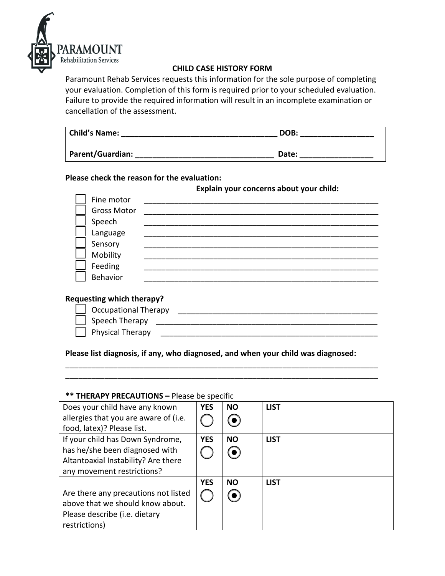

# **CHILD CASE HISTORY FORM**

Paramount Rehab Services requests this information for the sole purpose of completing your evaluation. Completion of this form is required prior to your scheduled evaluation. Failure to provide the required information will result in an incomplete examination or cancellation of the assessment.

| <b>Child's Name:</b>    | DOB:  |  |
|-------------------------|-------|--|
| <b>Parent/Guardian:</b> | Date: |  |

# **Please check the reason for the evaluation:**

**Explain your concerns about your child:**

| Fine motor         |  |
|--------------------|--|
| <b>Gross Motor</b> |  |
| Speech             |  |
| Language           |  |
| Sensory            |  |
| Mobility           |  |
| Feeding            |  |
| Behavior           |  |
|                    |  |
|                    |  |

### **Requesting which therapy?**

| Cccupational Therapy |
|----------------------|
| Speech Therapy       |
| Physical Therapy     |
|                      |

**Please list diagnosis, if any, who diagnosed, and when your child was diagnosed:** 

\_\_\_\_\_\_\_\_\_\_\_\_\_\_\_\_\_\_\_\_\_\_\_\_\_\_\_\_\_\_\_\_\_\_\_\_\_\_\_\_\_\_\_\_\_\_\_\_\_\_\_\_\_\_\_\_\_\_\_\_\_\_\_\_\_\_\_\_\_\_\_\_ \_\_\_\_\_\_\_\_\_\_\_\_\_\_\_\_\_\_\_\_\_\_\_\_\_\_\_\_\_\_\_\_\_\_\_\_\_\_\_\_\_\_\_\_\_\_\_\_\_\_\_\_\_\_\_\_\_\_\_\_\_\_\_\_\_\_\_\_\_\_\_\_

# **\*\* THERAPY PRECAUTIONS –** Please be specific

| Does your child have any known        | <b>YES</b> | <b>NO</b> | <b>LIST</b> |
|---------------------------------------|------------|-----------|-------------|
| allergies that you are aware of (i.e. |            |           |             |
| food, latex)? Please list.            |            |           |             |
| If your child has Down Syndrome,      | <b>YES</b> | <b>NO</b> | <b>LIST</b> |
| has he/she been diagnosed with        |            |           |             |
| Altantoaxial Instability? Are there   |            |           |             |
| any movement restrictions?            |            |           |             |
|                                       | <b>YES</b> | <b>NO</b> | <b>LIST</b> |
| Are there any precautions not listed  |            |           |             |
| above that we should know about.      |            |           |             |
| Please describe (i.e. dietary         |            |           |             |
| restrictions)                         |            |           |             |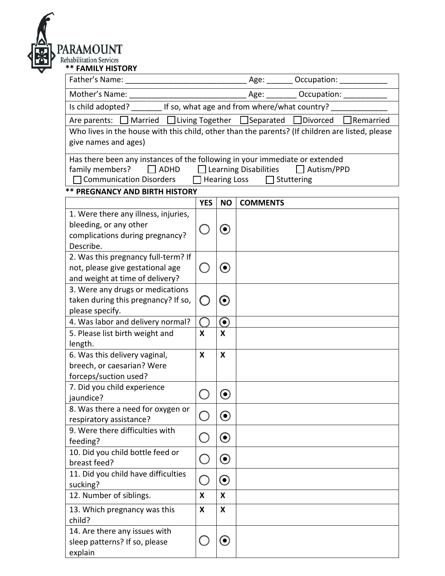

| <b>FAMILY HISTURY</b>                                                                           |            |                           |                                |                                         |  |  |
|-------------------------------------------------------------------------------------------------|------------|---------------------------|--------------------------------|-----------------------------------------|--|--|
| Father's Name:<br><u> 1980 - Jan James James Barnett, fransk politik (d. 1980)</u>              |            |                           |                                | Age: ________ Occupation: _____________ |  |  |
| Mother's Name:                                                                                  |            |                           |                                | Age: __________ Occupation: ________    |  |  |
| Is child adopted? ________ If so, what age and from where/what country?                         |            |                           |                                |                                         |  |  |
| Are parents: □ Married □ Living Together □ Separated □ Divorced<br>Remarried                    |            |                           |                                |                                         |  |  |
| Who lives in the house with this child, other than the parents? (If children are listed, please |            |                           |                                |                                         |  |  |
| give names and ages)                                                                            |            |                           |                                |                                         |  |  |
| Has there been any instances of the following in your immediate or extended                     |            |                           |                                |                                         |  |  |
| $\Box$ ADHD<br>family members?                                                                  |            |                           | $\Box$ Learning Disabilities   | $\Box$ Autism/PPD                       |  |  |
| □ Communication Disorders                                                                       |            |                           | Hearing Loss $\Box$ Stuttering |                                         |  |  |
| <b>** PREGNANCY AND BIRTH HISTORY</b>                                                           |            |                           |                                |                                         |  |  |
|                                                                                                 | <b>YES</b> | <b>NO</b>                 | <b>COMMENTS</b>                |                                         |  |  |
| 1. Were there any illness, injuries,                                                            |            |                           |                                |                                         |  |  |
| bleeding, or any other                                                                          |            | $\left( \bullet \right)$  |                                |                                         |  |  |
| complications during pregnancy?                                                                 |            |                           |                                |                                         |  |  |
| Describe.                                                                                       |            |                           |                                |                                         |  |  |
| 2. Was this pregnancy full-term? If<br>not, please give gestational age                         |            | $(\bullet)$               |                                |                                         |  |  |
| and weight at time of delivery?                                                                 |            |                           |                                |                                         |  |  |
| 3. Were any drugs or medications                                                                |            |                           |                                |                                         |  |  |
| taken during this pregnancy? If so,                                                             |            | $\left( \bullet \right)$  |                                |                                         |  |  |
| please specify.                                                                                 |            |                           |                                |                                         |  |  |
| 4. Was labor and delivery normal?                                                               |            | $\boldsymbol{\odot}$      |                                |                                         |  |  |
| 5. Please list birth weight and                                                                 | X          | X                         |                                |                                         |  |  |
| length.                                                                                         |            |                           |                                |                                         |  |  |
| 6. Was this delivery vaginal,                                                                   | X          | X                         |                                |                                         |  |  |
| breech, or caesarian? Were                                                                      |            |                           |                                |                                         |  |  |
| forceps/suction used?                                                                           |            |                           |                                |                                         |  |  |
| 7. Did you child experience                                                                     |            |                           |                                |                                         |  |  |
| jaundice?                                                                                       |            | $\mathbf{\Theta}$         |                                |                                         |  |  |
| 8. Was there a need for oxygen or                                                               |            | $\boldsymbol{\odot}$      |                                |                                         |  |  |
| respiratory assistance?                                                                         |            |                           |                                |                                         |  |  |
| 9. Were there difficulties with                                                                 |            | $\boldsymbol{\Theta}$     |                                |                                         |  |  |
| feeding?<br>10. Did you child bottle feed or                                                    |            |                           |                                |                                         |  |  |
| breast feed?                                                                                    |            | $\boldsymbol{\odot}$      |                                |                                         |  |  |
| 11. Did you child have difficulties                                                             |            |                           |                                |                                         |  |  |
| sucking?                                                                                        |            | $\boldsymbol{\Theta}$     |                                |                                         |  |  |
| 12. Number of siblings.                                                                         | X          | $\boldsymbol{\mathsf{X}}$ |                                |                                         |  |  |
|                                                                                                 | X          | X                         |                                |                                         |  |  |
| 13. Which pregnancy was this<br>child?                                                          |            |                           |                                |                                         |  |  |
| 14. Are there any issues with                                                                   |            |                           |                                |                                         |  |  |
| sleep patterns? If so, please                                                                   |            | $\boldsymbol{\Theta}$     |                                |                                         |  |  |
| explain                                                                                         |            |                           |                                |                                         |  |  |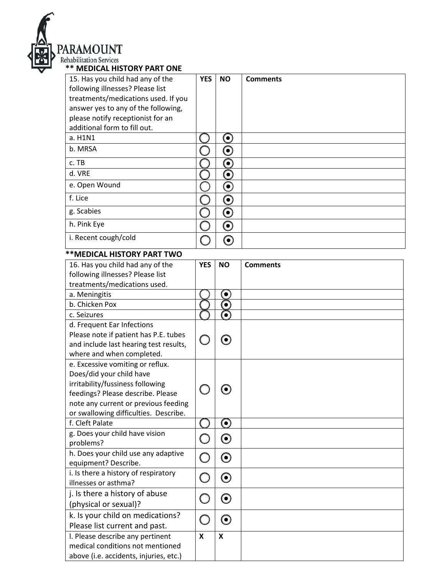

|  |  | * MEDICAL HISTORY PART ON |  |
|--|--|---------------------------|--|

| 15. Has you child had any of the                                     | <b>YES</b> | <b>NO</b>             | <b>Comments</b> |
|----------------------------------------------------------------------|------------|-----------------------|-----------------|
| following illnesses? Please list                                     |            |                       |                 |
| treatments/medications used. If you                                  |            |                       |                 |
| answer yes to any of the following,                                  |            |                       |                 |
| please notify receptionist for an                                    |            |                       |                 |
| additional form to fill out.                                         |            |                       |                 |
| a. H1N1                                                              |            | $\boldsymbol{\Theta}$ |                 |
| b. MRSA                                                              |            | $\boldsymbol{\odot}$  |                 |
| c. TB                                                                |            | $\boldsymbol{\odot}$  |                 |
| d. VRE                                                               |            | $\boldsymbol{\Theta}$ |                 |
| e. Open Wound                                                        |            | $\boldsymbol{\Theta}$ |                 |
| f. Lice                                                              |            | $\boldsymbol{\Theta}$ |                 |
| g. Scabies                                                           |            | $\boldsymbol{\Theta}$ |                 |
| h. Pink Eye                                                          |            | $\boldsymbol{\Theta}$ |                 |
| i. Recent cough/cold                                                 |            | $\boldsymbol{\odot}$  |                 |
|                                                                      |            |                       |                 |
| ** MEDICAL HISTORY PART TWO                                          | <b>YES</b> | <b>NO</b>             |                 |
| 16. Has you child had any of the<br>following illnesses? Please list |            |                       | <b>Comments</b> |
|                                                                      |            |                       |                 |
| treatments/medications used.                                         |            |                       |                 |
| a. Meningitis                                                        |            | $\bullet$             |                 |
| b. Chicken Pox                                                       |            | $\bullet$             |                 |
| c. Seizures                                                          |            | $\bullet$             |                 |
| d. Frequent Ear Infections                                           |            |                       |                 |
| Please note if patient has P.E. tubes                                |            | $\bm{\odot}$          |                 |
| and include last hearing test results,                               |            |                       |                 |
| where and when completed.                                            |            |                       |                 |
| e. Excessive vomiting or reflux.                                     |            |                       |                 |
| Does/did your child have                                             |            |                       |                 |
| irritability/fussiness following                                     |            |                       |                 |
| feedings? Please describe. Please                                    |            |                       |                 |
| note any current or previous feeding                                 |            |                       |                 |
| or swallowing difficulties. Describe.                                |            |                       |                 |
| f. Cleft Palate                                                      |            | $\bf{O}$              |                 |
| g. Does your child have vision                                       |            | $\boldsymbol{\odot}$  |                 |
| problems?                                                            |            |                       |                 |
| h. Does your child use any adaptive                                  |            | $\boldsymbol{\odot}$  |                 |
| equipment? Describe.                                                 |            |                       |                 |
| i. Is there a history of respiratory                                 |            | $\boldsymbol{\Theta}$ |                 |
| illnesses or asthma?                                                 |            |                       |                 |
| j. Is there a history of abuse                                       | L.         | $\boldsymbol{\odot}$  |                 |
| (physical or sexual)?                                                |            |                       |                 |
| k. Is your child on medications?                                     | $\Box$     | $\boldsymbol{\odot}$  |                 |
| Please list current and past.                                        |            |                       |                 |
| I. Please describe any pertinent                                     | X          | X                     |                 |
| medical conditions not mentioned                                     |            |                       |                 |
| above (i.e. accidents, injuries, etc.)                               |            |                       |                 |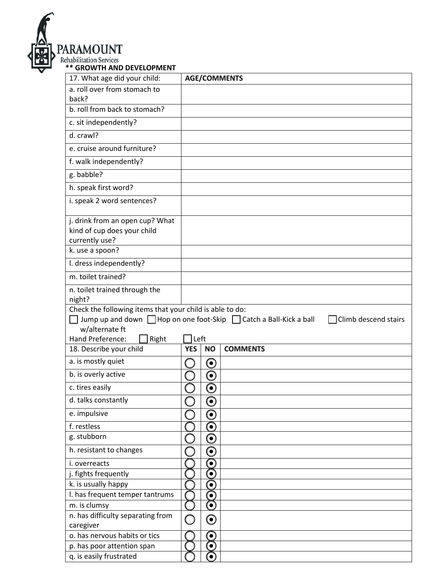

| 17. What age did your child:                                                                                                   |            |                                                      | <b>AGE/COMMENTS</b>  |  |  |
|--------------------------------------------------------------------------------------------------------------------------------|------------|------------------------------------------------------|----------------------|--|--|
| a. roll over from stomach to                                                                                                   |            |                                                      |                      |  |  |
| back?                                                                                                                          |            |                                                      |                      |  |  |
| b. roll from back to stomach?                                                                                                  |            |                                                      |                      |  |  |
| c. sit independently?                                                                                                          |            |                                                      |                      |  |  |
| d. crawl?                                                                                                                      |            |                                                      |                      |  |  |
| e. cruise around furniture?                                                                                                    |            |                                                      |                      |  |  |
| f. walk independently?                                                                                                         |            |                                                      |                      |  |  |
| g. babble?                                                                                                                     |            |                                                      |                      |  |  |
| h. speak first word?                                                                                                           |            |                                                      |                      |  |  |
| i. speak 2 word sentences?                                                                                                     |            |                                                      |                      |  |  |
| j. drink from an open cup? What                                                                                                |            |                                                      |                      |  |  |
| kind of cup does your child                                                                                                    |            |                                                      |                      |  |  |
| currently use?                                                                                                                 |            |                                                      |                      |  |  |
| k. use a spoon?                                                                                                                |            |                                                      |                      |  |  |
| I. dress independently?                                                                                                        |            |                                                      |                      |  |  |
| m. toilet trained?                                                                                                             |            |                                                      |                      |  |  |
| n. toilet trained through the<br>night?                                                                                        |            |                                                      |                      |  |  |
|                                                                                                                                |            |                                                      |                      |  |  |
| Check the following items that your child is able to do:<br>Jump up and down □ Hop on one foot-Skip □ Catch a Ball-Kick a ball |            |                                                      |                      |  |  |
|                                                                                                                                |            |                                                      |                      |  |  |
| w/alternate ft                                                                                                                 |            |                                                      | Climb descend stairs |  |  |
| Hand Preference:<br>Right                                                                                                      | l Left     |                                                      |                      |  |  |
| 18. Describe your child                                                                                                        | <b>YES</b> | <b>NO</b>                                            | <b>COMMENTS</b>      |  |  |
| a. is mostly quiet                                                                                                             |            | $\boldsymbol{\Theta}$                                |                      |  |  |
| b. is overly active                                                                                                            |            | $\boldsymbol{\Theta}$                                |                      |  |  |
| c. tires easily                                                                                                                |            | 0                                                    |                      |  |  |
| d. talks constantly                                                                                                            |            | Ò                                                    |                      |  |  |
| e. impulsive                                                                                                                   |            | S                                                    |                      |  |  |
| f. restless                                                                                                                    |            | $\bm{\odot}$                                         |                      |  |  |
| g. stubborn                                                                                                                    |            |                                                      |                      |  |  |
| h. resistant to changes                                                                                                        |            | $\boldsymbol{\Theta}$<br>$\textcolor{blue}{\bullet}$ |                      |  |  |
| i. overreacts                                                                                                                  |            | $\bullet$                                            |                      |  |  |
| j. fights frequently                                                                                                           |            | ି                                                    |                      |  |  |
| k. is usually happy                                                                                                            |            | $\bullet$                                            |                      |  |  |
| I. has frequent temper tantrums                                                                                                |            | $\bullet$                                            |                      |  |  |
| m. is clumsy                                                                                                                   |            | $\bullet$                                            |                      |  |  |
| n. has difficulty separating from                                                                                              |            |                                                      |                      |  |  |
| caregiver                                                                                                                      | (          | $\boldsymbol{\odot}$                                 |                      |  |  |
| o. has nervous habits or tics                                                                                                  |            | $\bullet$                                            |                      |  |  |
| p. has poor attention span                                                                                                     |            | O                                                    |                      |  |  |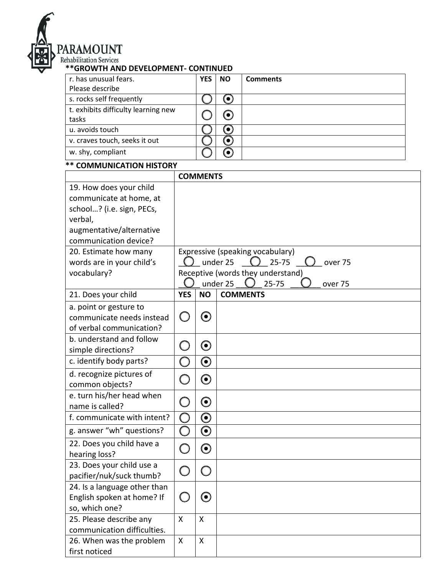

# **PARAMOUNT**<br> **Rehabilitation Services**<br> **\*\*GROWTH AND DEVELOPMENT- CONTINUED**

| r. has unusual fears.               | <b>YES</b> | <b>NO</b>                | <b>Comments</b> |
|-------------------------------------|------------|--------------------------|-----------------|
| Please describe                     |            |                          |                 |
| s. rocks self frequently            |            |                          |                 |
| t. exhibits difficulty learning new |            |                          |                 |
| tasks                               |            | $\left( \bullet \right)$ |                 |
| u. avoids touch                     |            |                          |                 |
| v. craves touch, seeks it out       |            |                          |                 |
| w. shy, compliant                   |            | $\bullet$ )              |                 |

# **\*\* COMMUNICATION HISTORY**

|                              |                                               | <b>COMMENTS</b>       |                                   |  |  |  |
|------------------------------|-----------------------------------------------|-----------------------|-----------------------------------|--|--|--|
| 19. How does your child      |                                               |                       |                                   |  |  |  |
| communicate at home, at      |                                               |                       |                                   |  |  |  |
| school? (i.e. sign, PECs,    |                                               |                       |                                   |  |  |  |
| verbal,                      |                                               |                       |                                   |  |  |  |
| augmentative/alternative     |                                               |                       |                                   |  |  |  |
| communication device?        |                                               |                       |                                   |  |  |  |
| 20. Estimate how many        | Expressive (speaking vocabulary)              |                       |                                   |  |  |  |
| words are in your child's    |                                               |                       | $25 - 75$<br>under 25<br>over 75  |  |  |  |
| vocabulary?                  |                                               |                       | Receptive (words they understand) |  |  |  |
|                              |                                               |                       | under 25<br>$25 - 75$<br>over 75  |  |  |  |
| 21. Does your child          | <b>YES</b>                                    | <b>NO</b>             | <b>COMMENTS</b>                   |  |  |  |
| a. point or gesture to       |                                               |                       |                                   |  |  |  |
| communicate needs instead    |                                               | $\boldsymbol{\Theta}$ |                                   |  |  |  |
| of verbal communication?     |                                               |                       |                                   |  |  |  |
| b. understand and follow     |                                               |                       |                                   |  |  |  |
| simple directions?           |                                               | $\boldsymbol{\odot}$  |                                   |  |  |  |
| c. identify body parts?      |                                               | $\boldsymbol{\odot}$  |                                   |  |  |  |
| d. recognize pictures of     |                                               | $\boldsymbol{\odot}$  |                                   |  |  |  |
| common objects?              |                                               |                       |                                   |  |  |  |
| e. turn his/her head when    |                                               |                       |                                   |  |  |  |
| name is called?              |                                               | $\boldsymbol{\odot}$  |                                   |  |  |  |
| f. communicate with intent?  | $\left( \begin{array}{c} \end{array} \right)$ | $\boldsymbol{\Theta}$ |                                   |  |  |  |
| g. answer "wh" questions?    | C.                                            | $\boldsymbol{\odot}$  |                                   |  |  |  |
| 22. Does you child have a    |                                               | $\boldsymbol{\Theta}$ |                                   |  |  |  |
| hearing loss?                |                                               |                       |                                   |  |  |  |
| 23. Does your child use a    |                                               |                       |                                   |  |  |  |
| pacifier/nuk/suck thumb?     |                                               |                       |                                   |  |  |  |
| 24. Is a language other than |                                               |                       |                                   |  |  |  |
| English spoken at home? If   | $\smile$                                      | $\mathbf{\Theta}$     |                                   |  |  |  |
| so, which one?               |                                               |                       |                                   |  |  |  |
| 25. Please describe any      | X                                             | $\mathsf{X}$          |                                   |  |  |  |
| communication difficulties.  |                                               |                       |                                   |  |  |  |
| 26. When was the problem     | X                                             | X                     |                                   |  |  |  |
| first noticed                |                                               |                       |                                   |  |  |  |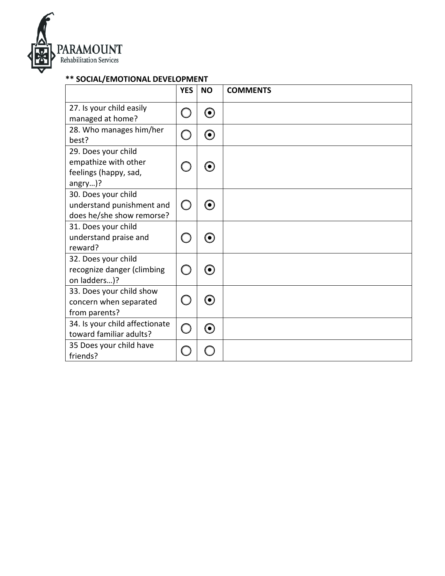

# **\*\* SOCIAL/EMOTIONAL DEVELOPMENT**

|                                                                                 | <b>YES</b>                                           | <b>NO</b>                | <b>COMMENTS</b> |
|---------------------------------------------------------------------------------|------------------------------------------------------|--------------------------|-----------------|
| 27. Is your child easily<br>managed at home?                                    |                                                      | $\left( \bullet \right)$ |                 |
| 28. Who manages him/her<br>best?                                                |                                                      | ⊙                        |                 |
| 29. Does your child<br>empathize with other<br>feelings (happy, sad,<br>angry)? |                                                      | 0                        |                 |
| 30. Does your child<br>understand punishment and<br>does he/she show remorse?   | $\bigcirc$                                           | $\bullet$                |                 |
| 31. Does your child<br>understand praise and<br>reward?                         |                                                      | 0                        |                 |
| 32. Does your child<br>recognize danger (climbing<br>on ladders)?               | ( )                                                  | $(\bullet)$              |                 |
| 33. Does your child show<br>concern when separated<br>from parents?             | $\left( \begin{array}{cc} 1 & 1 \end{array} \right)$ | 0)                       |                 |
| 34. Is your child affectionate<br>toward familiar adults?                       | $\bigcap$                                            | ⊙                        |                 |
| 35 Does your child have<br>friends?                                             |                                                      |                          |                 |